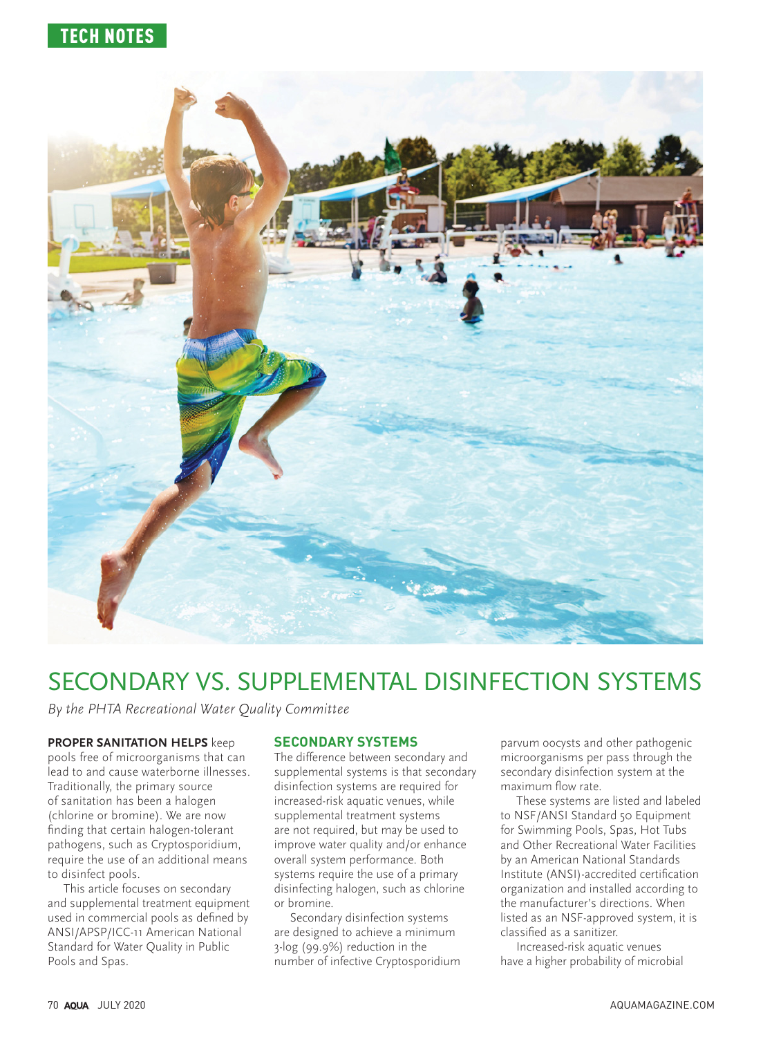

# SECONDARY VS. SUPPLEMENTAL DISINFECTION SYSTEMS

By the PHTA Recreational Water Quality Committee

#### **PROPER SANITATION HELPS** keep

pools free of microorganisms that can lead to and cause waterborne illnesses. Traditionally, the primary source of sanitation has been a halogen (chlorine or bromine). We are now finding that certain halogen-tolerant pathogens, such as Cryptosporidium, require the use of an additional means to disinfect pools.

This article focuses on secondary and supplemental treatment equipment used in commercial pools as defined by ANSI/APSP/ICC-11 American National Standard for Water Quality in Public Pools and Spas.

### **SECONDARY SYSTEMS**

The difference between secondary and supplemental systems is that secondary disinfection systems are required for increased-risk aquatic venues, while supplemental treatment systems are not required, but may be used to improve water quality and/or enhance overall system performance. Both systems require the use of a primary disinfecting halogen, such as chlorine or bromine.

Secondary disinfection systems are designed to achieve a minimum 3-log (99.9%) reduction in the number of infective Cryptosporidium parvum oocysts and other pathogenic microorganisms per pass through the secondary disinfection system at the maximum flow rate.

These systems are listed and labeled to NSF/ANSI Standard 50 Equipment for Swimming Pools, Spas, Hot Tubs and Other Recreational Water Facilities by an American National Standards Institute (ANSI)-accredited certification organization and installed according to the manufacturer's directions. When listed as an NSF-approved system, it is classified as a sanitizer.

Increased-risk aquatic venues have a higher probability of microbial